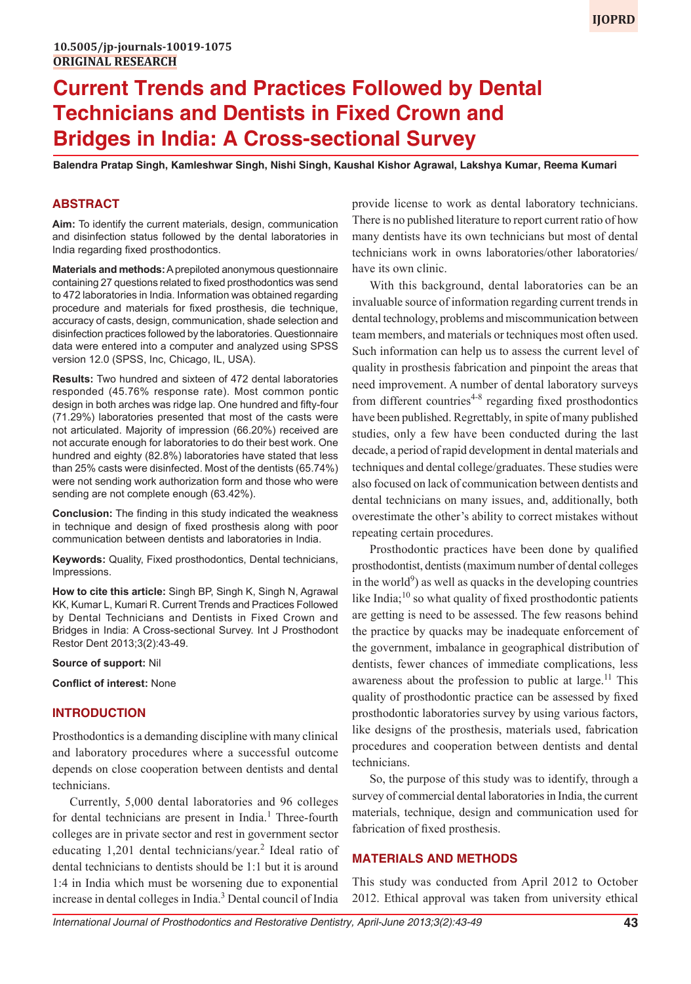# **Current Trends and Practices Followed by Dental Technicians and Dentists in Fixed Crown and Bridges in India: A Cross-sectional Survey**

**Balendra Pratap Singh, Kamleshwar Singh, Nishi Singh, Kaushal Kishor Agrawal, Lakshya Kumar, Reema Kumari**

# **ABSTRACT**

**Aim:** To identify the current materials, design, communication and disinfection status followed by the dental laboratories in India regarding fixed prosthodontics.

**Materials and methods:** A prepiloted anonymous questionnaire containing 27 questions related to fixed prosthodontics was send to 472 laboratories in India. Information was obtained regarding procedure and materials for fixed prosthesis, die technique, accuracy of casts, design, communication, shade selection and disinfection practices followed by the laboratories. Questionnaire data were entered into a computer and analyzed using SPSS version 12.0 (SPSS, Inc, Chicago, IL, USA).

**Results:** Two hundred and sixteen of 472 dental laboratories responded (45.76% response rate). Most common pontic design in both arches was ridge lap. One hundred and fifty-four (71.29%) laboratories presented that most of the casts were not articulated. Majority of impression (66.20%) received are not accurate enough for laboratories to do their best work. One hundred and eighty (82.8%) laboratories have stated that less than 25% casts were disinfected. Most of the dentists (65.74%) were not sending work authorization form and those who were sending are not complete enough (63.42%).

**Conclusion:** The finding in this study indicated the weakness in technique and design of fixed prosthesis along with poor communication between dentists and laboratories in India.

**Keywords:** Quality, Fixed prosthodontics, Dental technicians, Impressions.

**How to cite this article:** Singh BP, Singh K, Singh N, Agrawal KK, Kumar L, Kumari R. Current Trends and Practices Followed by Dental Technicians and Dentists in Fixed Crown and Bridges in India: A Cross-sectional Survey. Int J Prosthodont Restor Dent 2013;3(2):43-49.

#### **Source of support:** Nil

**Conflict of interest:** None

#### **INTRODUCTION**

Prosthodontics is a demanding discipline with many clinical and laboratory procedures where a successful outcome depends on close cooperation between dentists and dental technicians.

Currently, 5,000 dental laboratories and 96 colleges for dental technicians are present in India.<sup>1</sup> Three-fourth colleges are in private sector and rest in government sector educating 1,201 dental technicians/year.<sup>2</sup> Ideal ratio of dental technicians to dentists should be 1:1 but it is around 1:4 in India which must be worsening due to exponential increase in dental colleges in India.3 Dental council of India provide license to work as dental laboratory technicians. There is no published literature to report current ratio of how many dentists have its own technicians but most of dental technicians work in owns laboratories/other laboratories/ have its own clinic.

With this background, dental laboratories can be an invaluable source of information regarding current trends in dental technology, problems and miscommunication between team members, and materials or techniques most often used. Such information can help us to assess the current level of quality in prosthesis fabrication and pinpoint the areas that need improvement. A number of dental laboratory surveys from different countries<sup> $4-8$ </sup> regarding fixed prosthodontics have been published. Regrettably, in spite of many published studies, only a few have been conducted during the last decade, a period of rapid development in dental materials and techniques and dental college/graduates. These studies were also focused on lack of communication between dentists and dental technicians on many issues, and, additionally, both overestimate the other's ability to correct mistakes without repeating certain procedures.

Prosthodontic practices have been done by qualified prosthodontist, dentists (maximum number of dental colleges in the world $9$ ) as well as quacks in the developing countries like India; $^{10}$  so what quality of fixed prosthodontic patients are getting is need to be assessed. The few reasons behind the practice by quacks may be inadequate enforcement of the government, imbalance in geographical distribution of dentists, fewer chances of immediate complications, less awareness about the profession to public at large.<sup>11</sup> This quality of prosthodontic practice can be assessed by fixed prosthodontic laboratories survey by using various factors, like designs of the prosthesis, materials used, fabrication procedures and cooperation between dentists and dental technicians.

So, the purpose of this study was to identify, through a survey of commercial dental laboratories in India, the current materials, technique, design and communication used for fabrication of fixed prosthesis.

#### **MATERIALS AND METHODS**

This study was conducted from April 2012 to October 2012. Ethical approval was taken from university ethical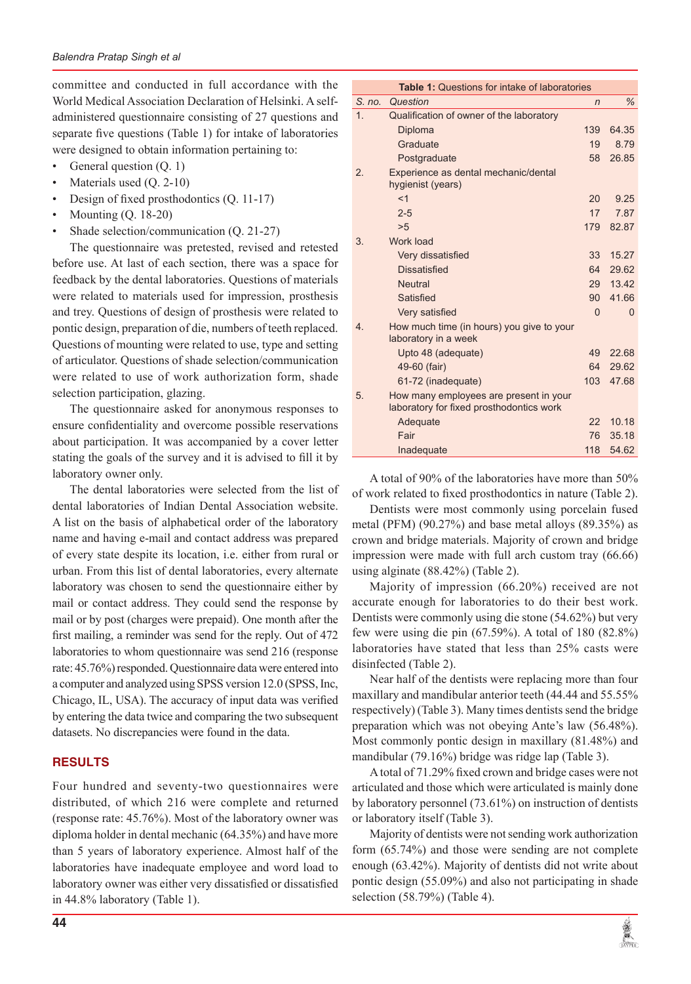committee and conducted in full accordance with the World Medical Association Declaration of Helsinki. A selfadministered questionnaire consisting of 27 questions and separate five questions (Table 1) for intake of laboratories were designed to obtain information pertaining to:

- General question  $(Q, 1)$
- Materials used  $(Q. 2-10)$
- Design of fixed prosthodontics (Q. 11-17)
- Mounting (Q. 18-20)
- Shade selection/communication (Q. 21-27)

The questionnaire was pretested, revised and retested before use. At last of each section, there was a space for feedback by the dental laboratories. Questions of materials were related to materials used for impression, prosthesis and trey. Questions of design of prosthesis were related to pontic design, preparation of die, numbers of teeth replaced. Questions of mounting were related to use, type and setting of articulator. Questions of shade selection/communication were related to use of work authorization form, shade selection participation, glazing.

The questionnaire asked for anonymous responses to ensure confidentiality and overcome possible reservations about participation. It was accompanied by a cover letter stating the goals of the survey and it is advised to fill it by laboratory owner only.

The dental laboratories were selected from the list of dental laboratories of Indian Dental Association website. A list on the basis of alphabetical order of the laboratory name and having e-mail and contact address was prepared of every state despite its location, i.e. either from rural or urban. From this list of dental laboratories, every alternate laboratory was chosen to send the questionnaire either by mail or contact address. They could send the response by mail or by post (charges were prepaid). One month after the first mailing, a reminder was send for the reply. Out of 472 laboratories to whom questionnaire was send 216 (response rate: 45.76%) responded. Questionnaire data were entered into a computer and analyzed using SPSS version 12.0 (SPSS, Inc, Chicago, IL, USA). The accuracy of input data was verified by entering the data twice and comparing the two subsequent datasets. No discrepancies were found in the data.

# **RESULTS**

Four hundred and seventy-two questionnaires were distributed, of which 216 were complete and returned (response rate: 45.76%). Most of the laboratory owner was diploma holder in dental mechanic (64.35%) and have more than 5 years of laboratory experience. Almost half of the laboratories have inadequate employee and word load to laboratory owner was either very dissatisfied or dissatisfied in 44.8% laboratory (Table 1).

| <b>Table 1: Questions for intake of laboratories</b> |                                                                                    |                  |       |  |
|------------------------------------------------------|------------------------------------------------------------------------------------|------------------|-------|--|
| S. no.                                               | Question                                                                           | n                | $\%$  |  |
| 1.                                                   | Qualification of owner of the laboratory                                           |                  |       |  |
|                                                      | Diploma                                                                            | 139              | 64.35 |  |
|                                                      | Graduate                                                                           | 19               | 8.79  |  |
|                                                      | Postgraduate                                                                       | 58               | 26.85 |  |
| 2.                                                   | Experience as dental mechanic/dental<br>hygienist (years)                          |                  |       |  |
|                                                      | < 1                                                                                | 20               | 9.25  |  |
|                                                      | $2 - 5$                                                                            | 17               | 7.87  |  |
|                                                      | >5                                                                                 | 179              | 82.87 |  |
| 3.                                                   | Work load                                                                          |                  |       |  |
|                                                      | Very dissatisfied                                                                  | 33               | 15.27 |  |
|                                                      | <b>Dissatisfied</b>                                                                | 64               | 29.62 |  |
|                                                      | <b>Neutral</b>                                                                     | 29               | 13.42 |  |
|                                                      | Satisfied                                                                          | 90               | 41.66 |  |
|                                                      | Very satisfied                                                                     | $\Omega$         | 0     |  |
| 4.                                                   | How much time (in hours) you give to your<br>laboratory in a week                  |                  |       |  |
|                                                      | Upto 48 (adequate)                                                                 | 49               | 22.68 |  |
|                                                      | 49-60 (fair)                                                                       | 64               | 29.62 |  |
|                                                      | 61-72 (inadequate)                                                                 | 103 <sub>1</sub> | 47.68 |  |
| 5.                                                   | How many employees are present in your<br>laboratory for fixed prosthodontics work |                  |       |  |
|                                                      | Adequate                                                                           | 22               | 10.18 |  |
|                                                      | Fair                                                                               | 76               | 35.18 |  |
|                                                      | Inadequate                                                                         | 118              | 54.62 |  |

A total of 90% of the laboratories have more than 50% of work related to fixed prosthodontics in nature (Table 2).

Dentists were most commonly using porcelain fused metal (PFM) (90.27%) and base metal alloys (89.35%) as crown and bridge materials. Majority of crown and bridge impression were made with full arch custom tray (66.66) using alginate (88.42%) (Table 2).

Majority of impression (66.20%) received are not accurate enough for laboratories to do their best work. Dentists were commonly using die stone (54.62%) but very few were using die pin (67.59%). A total of 180 (82.8%) laboratories have stated that less than 25% casts were disinfected (Table 2).

Near half of the dentists were replacing more than four maxillary and mandibular anterior teeth (44.44 and 55.55% respectively) (Table 3). Many times dentists send the bridge preparation which was not obeying Ante's law (56.48%). Most commonly pontic design in maxillary (81.48%) and mandibular (79.16%) bridge was ridge lap (Table 3).

A total of 71.29% fixed crown and bridge cases were not articulated and those which were articulated is mainly done by laboratory personnel (73.61%) on instruction of dentists or laboratory itself (Table 3).

Majority of dentists were not sending work authorization form (65.74%) and those were sending are not complete enough (63.42%). Majority of dentists did not write about pontic design (55.09%) and also not participating in shade selection (58.79%) (Table 4).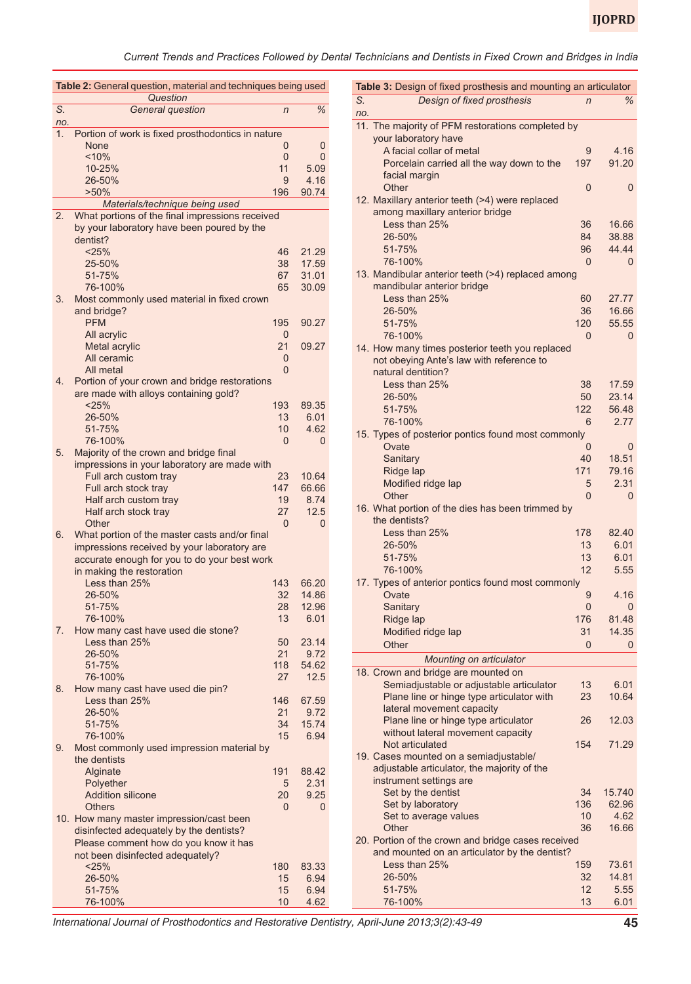*Current Trends and Practices Followed by Dental Technicians and Dentists in Fixed Crown and Bridges in India*

| Table 2: General question, material and techniques being used |                                                                                              |                |               |  |
|---------------------------------------------------------------|----------------------------------------------------------------------------------------------|----------------|---------------|--|
| S.                                                            | Question                                                                                     |                | %             |  |
| no.                                                           | General question                                                                             | $\overline{n}$ |               |  |
| 1.                                                            | Portion of work is fixed prosthodontics in nature                                            |                |               |  |
|                                                               | None                                                                                         | 0              | 0             |  |
|                                                               | $~10\%$                                                                                      | 0              | 0             |  |
|                                                               | 10-25%                                                                                       | 11             | 5.09          |  |
|                                                               | 26-50%                                                                                       | 9              | 4.16          |  |
|                                                               | $>50\%$                                                                                      | 196            | 90.74         |  |
|                                                               | Materials/technique being used                                                               |                |               |  |
| 2.                                                            | What portions of the final impressions received                                              |                |               |  |
|                                                               | by your laboratory have been poured by the                                                   |                |               |  |
|                                                               | dentist?                                                                                     |                |               |  |
|                                                               | < 25%                                                                                        | 46             | 21.29         |  |
|                                                               | 25-50%                                                                                       | 38             | 17.59         |  |
|                                                               | 51-75%                                                                                       | 67             | 31.01         |  |
| 3.                                                            | 76-100%                                                                                      | 65             | 30.09         |  |
|                                                               | Most commonly used material in fixed crown<br>and bridge?                                    |                |               |  |
|                                                               | <b>PFM</b>                                                                                   | 195            | 90.27         |  |
|                                                               | All acrylic                                                                                  | 0              |               |  |
|                                                               | Metal acrylic                                                                                | 21             | 09.27         |  |
|                                                               | All ceramic                                                                                  | 0              |               |  |
|                                                               | All metal                                                                                    | $\Omega$       |               |  |
| 4.                                                            | Portion of your crown and bridge restorations                                                |                |               |  |
|                                                               | are made with alloys containing gold?                                                        |                |               |  |
|                                                               | < 25%                                                                                        | 193            | 89.35         |  |
|                                                               | 26-50%                                                                                       | 13             | 6.01          |  |
|                                                               | 51-75%                                                                                       | 10             | 4.62          |  |
|                                                               | 76-100%                                                                                      | $\Omega$       | 0             |  |
| 5.                                                            | Majority of the crown and bridge final                                                       |                |               |  |
|                                                               | impressions in your laboratory are made with                                                 |                |               |  |
|                                                               | Full arch custom tray                                                                        | 23             | 10.64         |  |
|                                                               | Full arch stock tray                                                                         | 147            | 66.66         |  |
|                                                               | Half arch custom tray                                                                        | 19             | 8.74          |  |
|                                                               | Half arch stock tray                                                                         | 27             | 12.5          |  |
|                                                               | Other                                                                                        | 0              | 0             |  |
| 6.                                                            | What portion of the master casts and/or final<br>impressions received by your laboratory are |                |               |  |
|                                                               | accurate enough for you to do your best work                                                 |                |               |  |
|                                                               | in making the restoration                                                                    |                |               |  |
|                                                               | Less than 25%                                                                                | 143            | 66.20         |  |
|                                                               | 26-50%                                                                                       | 32             | 14.86         |  |
|                                                               | 51-75%                                                                                       | 28             | 12.96         |  |
|                                                               | 76-100%                                                                                      | 13             | 6.01          |  |
| 7.                                                            | How many cast have used die stone?                                                           |                |               |  |
|                                                               | Less than 25%                                                                                | 50             | 23.14         |  |
|                                                               | 26-50%                                                                                       | 21             | 9.72          |  |
|                                                               | 51-75%                                                                                       | 118            | 54.62         |  |
|                                                               | 76-100%                                                                                      | 27             | 12.5          |  |
| 8.                                                            | How many cast have used die pin?                                                             |                |               |  |
|                                                               | Less than 25%                                                                                | 146            | 67.59         |  |
|                                                               | 26-50%                                                                                       | 21             | 9.72          |  |
|                                                               | 51-75%                                                                                       | 34             | 15.74         |  |
|                                                               | 76-100%                                                                                      | 15             | 6.94          |  |
| 9.                                                            | Most commonly used impression material by                                                    |                |               |  |
|                                                               | the dentists                                                                                 | 191            |               |  |
|                                                               | Alginate<br>Polyether                                                                        | 5              | 88.42<br>2.31 |  |
|                                                               | <b>Addition silicone</b>                                                                     | 20             | 9.25          |  |
|                                                               | <b>Others</b>                                                                                | $\Omega$       | 0             |  |
|                                                               | 10. How many master impression/cast been                                                     |                |               |  |
|                                                               | disinfected adequately by the dentists?                                                      |                |               |  |
|                                                               | Please comment how do you know it has                                                        |                |               |  |
|                                                               | not been disinfected adequately?                                                             |                |               |  |
|                                                               | < 25%                                                                                        | 180            | 83.33         |  |
|                                                               | 26-50%                                                                                       | 15             | 6.94          |  |
|                                                               | 51-75%                                                                                       | 15             | 6.94          |  |
|                                                               | 76-100%                                                                                      | 10             | 4.62          |  |

| Table 3: Design of fixed prosthesis and mounting an articulator |                                                                                                              |                 |                         |  |
|-----------------------------------------------------------------|--------------------------------------------------------------------------------------------------------------|-----------------|-------------------------|--|
| S.<br>no.                                                       | Design of fixed prosthesis                                                                                   | $\overline{n}$  | %                       |  |
| 11.                                                             | The majority of PFM restorations completed by<br>your laboratory have                                        |                 |                         |  |
|                                                                 | A facial collar of metal<br>Porcelain carried all the way down to the                                        | 9<br>197        | 4.16<br>91.20           |  |
|                                                                 | facial margin<br>Other<br>12. Maxillary anterior teeth (>4) were replaced                                    | 0               | $\overline{0}$          |  |
|                                                                 | among maxillary anterior bridge                                                                              | 36              |                         |  |
|                                                                 | Less than 25%<br>26-50%<br>51-75%                                                                            | 84<br>96        | 16.66<br>38.88<br>44.44 |  |
|                                                                 | 76-100%<br>13. Mandibular anterior teeth (>4) replaced among                                                 | $\Omega$        | 0                       |  |
|                                                                 | mandibular anterior bridge                                                                                   |                 |                         |  |
|                                                                 | Less than 25%<br>26-50%                                                                                      | 60<br>36        | 27.77<br>16.66          |  |
|                                                                 | 51-75%<br>76-100%                                                                                            | 120<br>$\Omega$ | 55.55<br>0              |  |
|                                                                 | 14. How many times posterior teeth you replaced<br>not obeying Ante's law with reference to                  |                 |                         |  |
|                                                                 | natural dentition?<br>Less than 25%                                                                          | 38              | 17.59                   |  |
|                                                                 | 26-50%<br>51-75%                                                                                             | 50<br>122       | 23.14<br>56.48          |  |
|                                                                 | 76-100%<br>15. Types of posterior pontics found most commonly                                                | 6               | 2.77                    |  |
|                                                                 | Ovate                                                                                                        | 0               | 0                       |  |
|                                                                 | Sanitary<br>Ridge lap                                                                                        | 40<br>171       | 18.51<br>79.16          |  |
|                                                                 | Modified ridge lap<br>Other                                                                                  | 5<br>$\Omega$   | 2.31<br>$\Omega$        |  |
|                                                                 | 16. What portion of the dies has been trimmed by<br>the dentists?                                            |                 |                         |  |
|                                                                 | Less than 25%<br>26-50%                                                                                      | 178<br>13       | 82.40<br>6.01           |  |
|                                                                 | 51-75%                                                                                                       | 13              | 6.01                    |  |
|                                                                 | 76-100%<br>17. Types of anterior pontics found most commonly                                                 | 12              | 5.55                    |  |
|                                                                 | Ovate<br>Sanitary                                                                                            | 9<br>0          | 4.16<br>0               |  |
|                                                                 | Ridge lap                                                                                                    | 176             | 81.48<br>14.35          |  |
|                                                                 | Modified ridge lap<br>Other                                                                                  | 31<br>0         | 0                       |  |
|                                                                 | Mounting on articulator<br>18. Crown and bridge are mounted on                                               |                 |                         |  |
|                                                                 | Semiadjustable or adjustable articulator                                                                     | 13              | 6.01                    |  |
|                                                                 | Plane line or hinge type articulator with<br>lateral movement capacity                                       | 23              | 10.64                   |  |
|                                                                 | Plane line or hinge type articulator<br>without lateral movement capacity                                    | 26              | 12.03                   |  |
|                                                                 | Not articulated<br>19. Cases mounted on a semiadjustable/                                                    | 154             | 71.29                   |  |
|                                                                 | adjustable articulator, the majority of the<br>instrument settings are                                       |                 |                         |  |
|                                                                 | Set by the dentist<br>Set by laboratory                                                                      | 34<br>136       | 15.740<br>62.96         |  |
|                                                                 | Set to average values                                                                                        | 10              | 4.62                    |  |
|                                                                 | Other<br>20. Portion of the crown and bridge cases received<br>and mounted on an articulator by the dentist? | 36              | 16.66                   |  |
|                                                                 | Less than 25%                                                                                                | 159             | 73.61                   |  |
|                                                                 | 26-50%<br>51-75%                                                                                             | 32<br>12        | 14.81<br>5.55           |  |
|                                                                 | 76-100%                                                                                                      | 13              | 6.01                    |  |

*International Journal of Prosthodontics and Restorative Dentistry, April-June 2013;3(2):43-49* **45**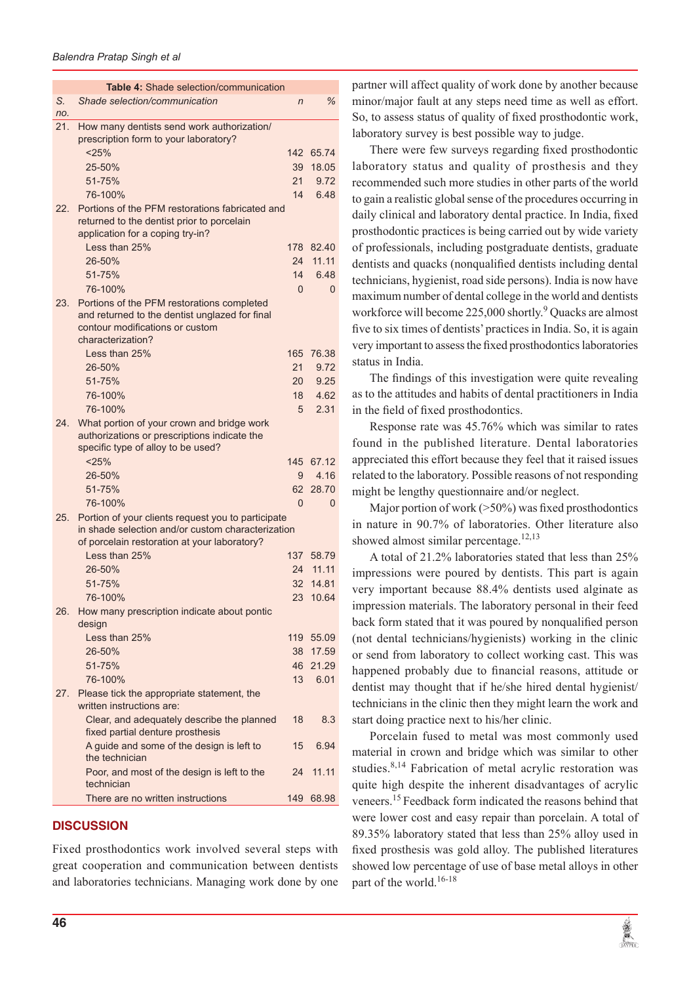|                 | Table 4: Shade selection/communication                                                                                                                  |                 |           |
|-----------------|---------------------------------------------------------------------------------------------------------------------------------------------------------|-----------------|-----------|
| S.<br>no.       | Shade selection/communication                                                                                                                           | $\overline{n}$  | ℅         |
| 21.             | How many dentists send work authorization/<br>prescription form to your laboratory?                                                                     |                 |           |
|                 | < 25%                                                                                                                                                   |                 | 142 65.74 |
|                 | 25-50%                                                                                                                                                  | 39              | 18.05     |
|                 | 51-75%                                                                                                                                                  | 21              | 9.72      |
|                 | 76-100%                                                                                                                                                 | 14              | 6.48      |
| 22 <sub>1</sub> | Portions of the PFM restorations fabricated and<br>returned to the dentist prior to porcelain<br>application for a coping try-in?                       |                 |           |
|                 | Less than 25%                                                                                                                                           | 178             | 82.40     |
|                 | 26-50%                                                                                                                                                  | 24              | 11.11     |
|                 | 51-75%                                                                                                                                                  | 14              | 6.48      |
|                 | 76-100%                                                                                                                                                 | $\Omega$        | $\Omega$  |
| 23.             | Portions of the PFM restorations completed<br>and returned to the dentist unglazed for final<br>contour modifications or custom<br>characterization?    |                 |           |
|                 | Less than 25%                                                                                                                                           | 165             | 76.38     |
|                 | 26-50%                                                                                                                                                  | 21              | 9.72      |
|                 | 51-75%                                                                                                                                                  | 20 <sup>2</sup> | 9.25      |
|                 | 76-100%                                                                                                                                                 | 18              | 4.62      |
|                 | 76-100%                                                                                                                                                 | 5               | 2.31      |
| 24.             | What portion of your crown and bridge work<br>authorizations or prescriptions indicate the<br>specific type of alloy to be used?                        |                 |           |
|                 | < 25%                                                                                                                                                   | 145             | 67.12     |
|                 | 26-50%                                                                                                                                                  | 9               | 4.16      |
|                 | 51-75%                                                                                                                                                  | 62              | 28.70     |
|                 | 76-100%                                                                                                                                                 | $\Omega$        | $\Omega$  |
| 25.             | Portion of your clients request you to participate<br>in shade selection and/or custom characterization<br>of porcelain restoration at your laboratory? |                 |           |
|                 | Less than $25%$                                                                                                                                         | 137             | 58.79     |
|                 | 26-50%                                                                                                                                                  | 24              | 11.11     |
|                 | 51-75%                                                                                                                                                  | 32              | 14.81     |
|                 | 76-100%                                                                                                                                                 |                 | 23 10.64  |
| 26.             | How many prescription indicate about pontic<br>design                                                                                                   |                 |           |
|                 | Less than 25%                                                                                                                                           | 119             | 55.09     |
|                 | 26-50%                                                                                                                                                  | 38              | 17.59     |
|                 | 51-75%                                                                                                                                                  | 46              | 21.29     |
|                 | 76-100%                                                                                                                                                 | 13              | 6.01      |
| 27.             | Please tick the appropriate statement, the<br>written instructions are:                                                                                 |                 |           |
|                 | Clear, and adequately describe the planned<br>fixed partial denture prosthesis                                                                          | 18              | 8.3       |
|                 | A guide and some of the design is left to<br>the technician                                                                                             | 15              | 6.94      |
|                 | Poor, and most of the design is left to the<br>technician                                                                                               | 24              | 11.11     |
|                 | There are no written instructions                                                                                                                       |                 | 149 68.98 |

## **DISCUSSION**

Fixed prosthodontics work involved several steps with great cooperation and communication between dentists and laboratories technicians. Managing work done by one

partner will affect quality of work done by another because minor/major fault at any steps need time as well as effort. So, to assess status of quality of fixed prosthodontic work, laboratory survey is best possible way to judge.

There were few surveys regarding fixed prosthodontic laboratory status and quality of prosthesis and they recommended such more studies in other parts of the world to gain a realistic global sense of the procedures occurring in daily clinical and laboratory dental practice. In India, fixed prosthodontic practices is being carried out by wide variety of professionals, including postgraduate dentists, graduate dentists and quacks (nonqualified dentists including dental technicians, hygienist, road side persons). India is now have maximum number of dental college in the world and dentists workforce will become 225,000 shortly.<sup>9</sup> Quacks are almost five to six times of dentists' practices in India. So, it is again very important to assess the fixed prosthodontics laboratories status in India.

The findings of this investigation were quite revealing as to the attitudes and habits of dental practitioners in India in the field of fixed prosthodontics.

Response rate was 45.76% which was similar to rates found in the published literature. Dental laboratories appreciated this effort because they feel that it raised issues related to the laboratory. Possible reasons of not responding might be lengthy questionnaire and/or neglect.

Major portion of work (>50%) was fixed prosthodontics in nature in 90.7% of laboratories. Other literature also showed almost similar percentage.<sup>12,13</sup>

A total of 21.2% laboratories stated that less than 25% impressions were poured by dentists. This part is again very important because 88.4% dentists used alginate as impression materials. The laboratory personal in their feed back form stated that it was poured by nonqualified person (not dental technicians/hygienists) working in the clinic or send from laboratory to collect working cast. This was happened probably due to financial reasons, attitude or dentist may thought that if he/she hired dental hygienist/ technicians in the clinic then they might learn the work and start doing practice next to his/her clinic.

Porcelain fused to metal was most commonly used material in crown and bridge which was similar to other studies.<sup>8,14</sup> Fabrication of metal acrylic restoration was quite high despite the inherent disadvantages of acrylic veneers.15 Feedback form indicated the reasons behind that were lower cost and easy repair than porcelain. A total of 89.35% laboratory stated that less than 25% alloy used in fixed prosthesis was gold alloy. The published literatures showed low percentage of use of base metal alloys in other part of the world.<sup>16-18</sup>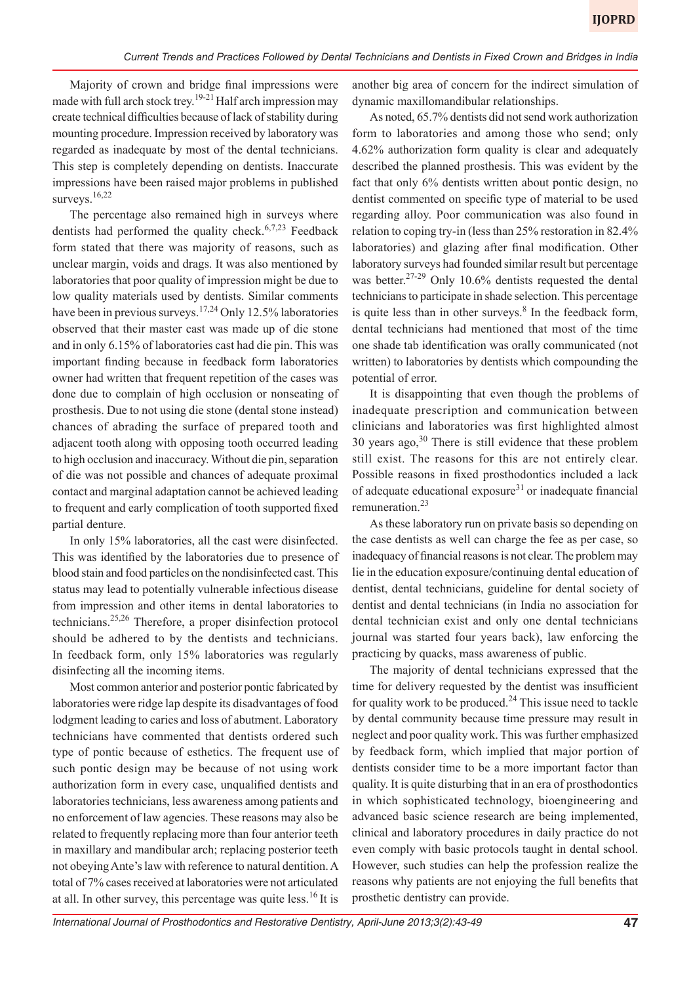Majority of crown and bridge final impressions were made with full arch stock trey.<sup>19-21</sup> Half arch impression may create technical difficulties because of lack of stability during mounting procedure. Impression received by laboratory was regarded as inadequate by most of the dental technicians. This step is completely depending on dentists. Inaccurate impressions have been raised major problems in published surveys.<sup>16,22</sup>

The percentage also remained high in surveys where dentists had performed the quality check.<sup>6,7,23</sup> Feedback form stated that there was majority of reasons, such as unclear margin, voids and drags. It was also mentioned by laboratories that poor quality of impression might be due to low quality materials used by dentists. Similar comments have been in previous surveys.<sup>17,24</sup> Only 12.5% laboratories observed that their master cast was made up of die stone and in only 6.15% of laboratories cast had die pin. This was important finding because in feedback form laboratories owner had written that frequent repetition of the cases was done due to complain of high occlusion or nonseating of prosthesis. Due to not using die stone (dental stone instead) chances of abrading the surface of prepared tooth and adjacent tooth along with opposing tooth occurred leading to high occlusion and inaccuracy. Without die pin, separation of die was not possible and chances of adequate proximal contact and marginal adaptation cannot be achieved leading to frequent and early complication of tooth supported fixed partial denture.

In only 15% laboratories, all the cast were disinfected. This was identified by the laboratories due to presence of blood stain and food particles on the nondisinfected cast. This status may lead to potentially vulnerable infectious disease from impression and other items in dental laboratories to technicians.25,26 Therefore, a proper disinfection protocol should be adhered to by the dentists and technicians. In feedback form, only 15% laboratories was regularly disinfecting all the incoming items.

Most common anterior and posterior pontic fabricated by laboratories were ridge lap despite its disadvantages of food lodgment leading to caries and loss of abutment. Laboratory technicians have commented that dentists ordered such type of pontic because of esthetics. The frequent use of such pontic design may be because of not using work authorization form in every case, unqualified dentists and laboratories technicians, less awareness among patients and no enforcement of law agencies. These reasons may also be related to frequently replacing more than four anterior teeth in maxillary and mandibular arch; replacing posterior teeth not obeying Ante's law with reference to natural dentition. A total of 7% cases received at laboratories were not articulated at all. In other survey, this percentage was quite less.<sup>16</sup> It is

another big area of concern for the indirect simulation of dynamic maxillomandibular relationships.

As noted, 65.7% dentists did not send work authorization form to laboratories and among those who send; only 4.62% authorization form quality is clear and adequately described the planned prosthesis. This was evident by the fact that only 6% dentists written about pontic design, no dentist commented on specific type of material to be used regarding alloy. Poor communication was also found in relation to coping try-in (less than 25% restoration in 82.4% laboratories) and glazing after final modification. Other laboratory surveys had founded similar result but percentage was better.<sup>27-29</sup> Only 10.6% dentists requested the dental technicians to participate in shade selection. This percentage is quite less than in other surveys. $8$  In the feedback form, dental technicians had mentioned that most of the time one shade tab identification was orally communicated (not written) to laboratories by dentists which compounding the potential of error.

It is disappointing that even though the problems of inadequate prescription and communication between clinicians and laboratories was first highlighted almost 30 years ago,  $30^{\circ}$  There is still evidence that these problem still exist. The reasons for this are not entirely clear. Possible reasons in fixed prosthodontics included a lack of adequate educational exposure $31$  or inadequate financial remuneration.23

As these laboratory run on private basis so depending on the case dentists as well can charge the fee as per case, so inadequacy of financial reasons is not clear. The problem may lie in the education exposure/continuing dental education of dentist, dental technicians, guideline for dental society of dentist and dental technicians (in India no association for dental technician exist and only one dental technicians journal was started four years back), law enforcing the practicing by quacks, mass awareness of public.

The majority of dental technicians expressed that the time for delivery requested by the dentist was insufficient for quality work to be produced.<sup>24</sup> This issue need to tackle by dental community because time pressure may result in neglect and poor quality work. This was further emphasized by feedback form, which implied that major portion of dentists consider time to be a more important factor than quality. It is quite disturbing that in an era of prosthodontics in which sophisticated technology, bioengineering and advanced basic science research are being implemented, clinical and laboratory procedures in daily practice do not even comply with basic protocols taught in dental school. However, such studies can help the profession realize the reasons why patients are not enjoying the full benefits that prosthetic dentistry can provide.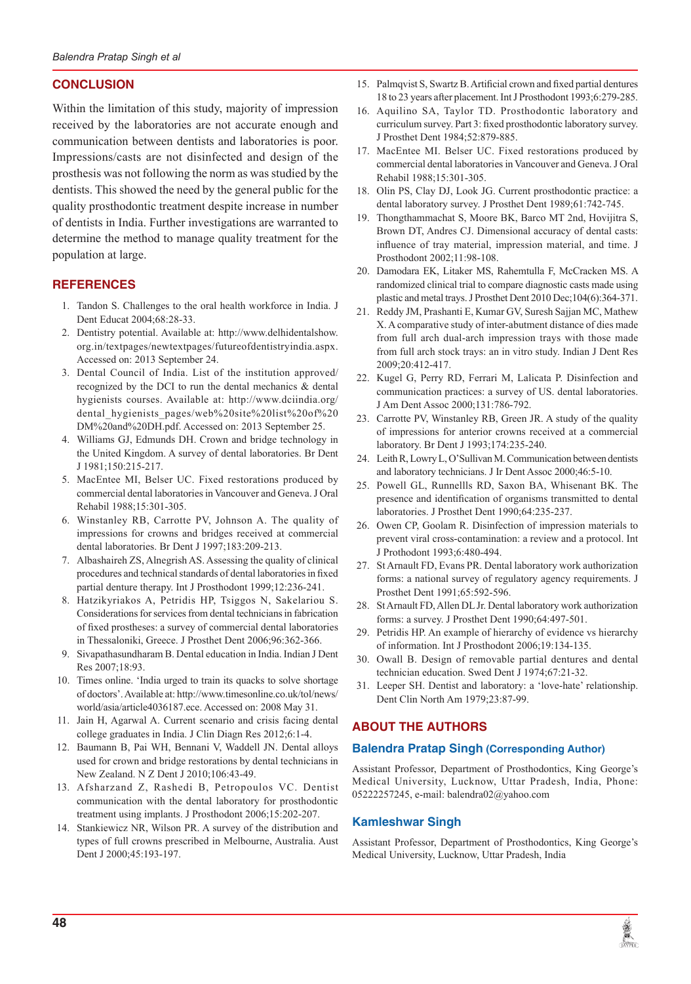# **CONCLUSION**

Within the limitation of this study, majority of impression received by the laboratories are not accurate enough and communication between dentists and laboratories is poor. Impressions/casts are not disinfected and design of the prosthesis was not following the norm as was studied by the dentists. This showed the need by the general public for the quality prosthodontic treatment despite increase in number of dentists in India. Further investigations are warranted to determine the method to manage quality treatment for the population at large.

# **REFERENCES**

- 1. Tandon S. Challenges to the oral health workforce in India. J Dent Educat 2004;68:28-33.
- 2. Dentistry potential. Available at: http://www.delhidentalshow. org.in/textpages/newtextpages/futureofdentistryindia.aspx. Accessed on: 2013 September 24.
- 3. Dental Council of India. List of the institution approved/ recognized by the DCI to run the dental mechanics & dental hygienists courses. Available at: http://www.dciindia.org/ dental\_hygienists\_pages/web%20site%20list%20of%20 DM%20and%20DH.pdf. Accessed on: 2013 September 25.
- 4. Williams GJ, Edmunds DH. Crown and bridge technology in the United Kingdom. A survey of dental laboratories. Br Dent J 1981;150:215-217.
- 5. MacEntee MI, Belser UC. Fixed restorations produced by commercial dental laboratories in Vancouver and Geneva. J Oral Rehabil 1988;15:301-305.
- 6. Winstanley RB, Carrotte PV, Johnson A. The quality of impressions for crowns and bridges received at commercial dental laboratories. Br Dent J 1997;183:209-213.
- 7. Albashaireh ZS, Alnegrish AS. Assessing the quality of clinical procedures and technical standards of dental laboratories in fixed partial denture therapy. Int J Prosthodont 1999;12:236-241.
- 8. Hatzikyriakos A, Petridis HP, Tsiggos N, Sakelariou S. Considerations for services from dental technicians in fabrication of fixed prostheses: a survey of commercial dental laboratories in Thessaloniki, Greece. J Prosthet Dent 2006;96:362-366.
- 9. Sivapathasundharam B. Dental education in India. Indian J Dent Res 2007;18:93.
- 10. Times online. 'India urged to train its quacks to solve shortage of doctors'. Available at: http://www.timesonline.co.uk/tol/news/ world/asia/article4036187.ece. Accessed on: 2008 May 31.
- 11. Jain H, Agarwal A. Current scenario and crisis facing dental college graduates in India. J Clin Diagn Res 2012;6:1-4.
- 12. Baumann B, Pai WH, Bennani V, Waddell JN. Dental alloys used for crown and bridge restorations by dental technicians in New Zealand. N Z Dent J 2010;106:43-49.
- 13. Afsharzand Z, Rashedi B, Petropoulos VC. Dentist communication with the dental laboratory for prosthodontic treatment using implants. J Prosthodont 2006;15:202-207.
- 14. Stankiewicz NR, Wilson PR. A survey of the distribution and types of full crowns prescribed in Melbourne, Australia. Aust Dent J 2000;45:193-197.
- 15. Palmqvist S, Swartz B. Artificial crown and fixed partial dentures 18 to 23 years after placement. Int J Prosthodont 1993;6:279-285.
- 16. Aquilino SA, Taylor TD. Prosthodontic laboratory and curriculum survey. Part 3: fixed prosthodontic laboratory survey. J Prosthet Dent 1984;52:879-885.
- 17. MacEntee MI. Belser UC. Fixed restorations produced by commercial dental laboratories in Vancouver and Geneva. J Oral Rehabil 1988;15:301-305.
- 18. Olin PS, Clay DJ, Look JG. Current prosthodontic practice: a dental laboratory survey. J Prosthet Dent 1989;61:742-745.
- 19. Thongthammachat S, Moore BK, Barco MT 2nd, Hovijitra S, Brown DT, Andres CJ. Dimensional accuracy of dental casts: influence of tray material, impression material, and time. J Prosthodont 2002;11:98-108.
- 20. Damodara EK, Litaker MS, Rahemtulla F, McCracken MS. A randomized clinical trial to compare diagnostic casts made using plastic and metal trays. J Prosthet Dent 2010 Dec;104(6):364-371.
- 21. Reddy JM, Prashanti E, Kumar GV, Suresh Sajjan MC, Mathew X. A comparative study of inter-abutment distance of dies made from full arch dual-arch impression trays with those made from full arch stock trays: an in vitro study. Indian J Dent Res 2009;20:412-417.
- 22. Kugel G, Perry RD, Ferrari M, Lalicata P. Disinfection and communication practices: a survey of US. dental laboratories. J Am Dent Assoc 2000;131:786-792.
- 23. Carrotte PV, Winstanley RB, Green JR. A study of the quality of impressions for anterior crowns received at a commercial laboratory. Br Dent J 1993;174:235-240.
- 24. Leith R, Lowry L, O'Sullivan M. Communication between dentists and laboratory technicians. J Ir Dent Assoc 2000;46:5-10.
- 25. Powell GL, Runnellls RD, Saxon BA, Whisenant BK. The presence and identification of organisms transmitted to dental laboratories. J Prosthet Dent 1990;64:235-237.
- 26. Owen CP, Goolam R. Disinfection of impression materials to prevent viral cross-contamination: a review and a protocol. Int J Prothodont 1993;6:480-494.
- 27. St Arnault FD, Evans PR. Dental laboratory work authorization forms: a national survey of regulatory agency requirements. J Prosthet Dent 1991;65:592-596.
- 28. St Arnault FD, Allen DL Jr. Dental laboratory work authorization forms: a survey. J Prosthet Dent 1990;64:497-501.
- Petridis HP. An example of hierarchy of evidence vs hierarchy of information. Int J Prosthodont 2006;19:134-135.
- 30. Owall B. Design of removable partial dentures and dental technician education. Swed Dent J 1974;67:21-32.
- 31. Leeper SH. Dentist and laboratory: a 'love-hate' relationship. Dent Clin North Am 1979;23:87-99.

# **ABOUT THE AUTHORS**

## **Balendra Pratap Singh (Corresponding Author)**

Assistant Professor, Department of Prosthodontics, King George's Medical University, Lucknow, Uttar Pradesh, India, Phone: 05222257245, e-mail: balendra02@yahoo.com

## **Kamleshwar Singh**

Assistant Professor, Department of Prosthodontics, King George's Medical University, Lucknow, Uttar Pradesh, India